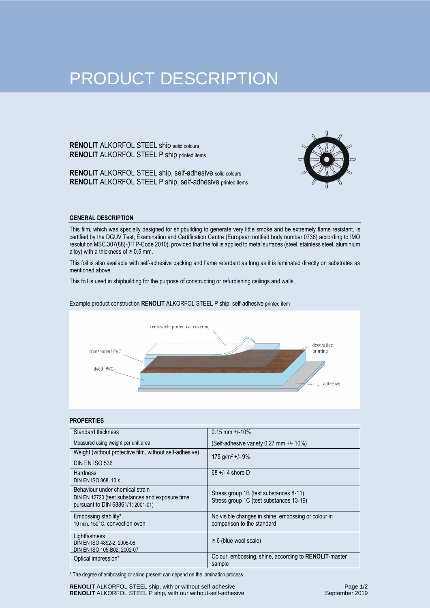# PRODUCT DESCRIPTION

**RENOLIT** ALKORFOL STEEL ship solid colours **RENOLIT** ALKORFOL STEEL P ship printed items

**RENOLIT** ALKORFOL STEEL ship, self-adhesive solid colours **RENOLIT** ALKORFOL STEEL P ship, self-adhesive printed items



# **GENERAL DESCRIPTION**

This film, which was specially designed for shipbuilding to generate very little smoke and be extremely flame resistant, is certified by the DGUV Test, Examination and Certification Centre (European notified body number 0736) according to IMO resolution MSC.307(88)-(FTP-Code 2010), provided that the foil is applied to metal surfaces (steel, stainless steel, aluminium alloy) with a thickness of  $\geq 0.5$  mm.

This foil is also available with self-adhesive backing and flame retardant as long as it is laminated directly on substrates as mentioned above.

This foil is used in shipbuilding for the purpose of constructing or refurbishing ceilings and walls.

# removable protective covering decorative transparent PVC printing dyed PVC adhesive

# Example product construction **RENOLIT** ALKORFOL STEEL P ship, self-adhesive printed item

### **PROPERTIES**

| Standard thickness                                        | $0.15$ mm +/-10%                                                |
|-----------------------------------------------------------|-----------------------------------------------------------------|
| Measured using weight per unit area                       | (Self-adhesive variety 0.27 mm +/- 10%)                         |
| Weight (without protective film, without self-adhesive)   | $175$ g/m <sup>2</sup> +/- 9%                                   |
| DIN EN ISO 536                                            |                                                                 |
| <b>Hardness</b>                                           | $68 +/- 4$ shore D                                              |
| DIN EN ISO 868, 10 s                                      |                                                                 |
| Behaviour under chemical strain                           | Stress group 1B (test substances 8-11)                          |
| DIN EN 12720 (test substances and exposure time           | Stress group 1C (test substances 13-19)                         |
| pursuant to DIN 68861/1: 2001-01)                         |                                                                 |
| Embossing stability*                                      | No visible changes in shine, embossing or colour in             |
| 10 min. 150°C, convection oven                            | comparison to the standard                                      |
| Lightfastness                                             | $\geq 6$ (blue wool scale)                                      |
| DIN EN ISO 4892-2, 2006-06<br>DIN EN ISO 105-B02, 2002-07 |                                                                 |
|                                                           |                                                                 |
| Optical impression*                                       | Colour, embossing, shine, according to RENOLIT-master<br>sample |

\* The degree of embossing or shine present can depend on the lamination process

**RENOLIT** ALKORFOL STEEL ship, with or without self-adhesive **RENOLIT** ALKORFOL STEEL P ship, with our without-self-adhesive